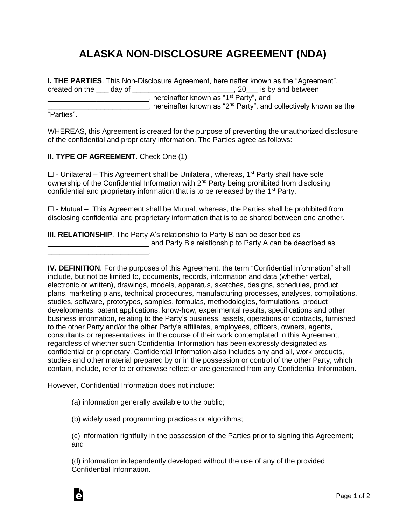## **ALASKA NON-DISCLOSURE AGREEMENT (NDA)**

**I. THE PARTIES**. This Non-Disclosure Agreement, hereinafter known as the "Agreement", created on the \_\_\_ day of \_\_\_\_\_\_\_\_\_\_\_\_\_\_\_\_\_\_\_\_\_\_\_\_\_, 20\_\_\_ is by and between \_\_\_\_\_\_\_\_\_\_\_\_\_\_\_\_\_\_\_\_\_\_\_\_\_, hereinafter known as "1 st Party", and **Example 2**, hereinafter known as "2<sup>nd</sup> Party", and collectively known as the

"Parties".

WHEREAS, this Agreement is created for the purpose of preventing the unauthorized disclosure of the confidential and proprietary information. The Parties agree as follows:

**II. TYPE OF AGREEMENT**. Check One (1)

\_\_\_\_\_\_\_\_\_\_\_\_\_\_\_\_\_\_\_\_\_\_\_\_\_.

 $\Box$  - Unilateral – This Agreement shall be Unilateral, whereas, 1<sup>st</sup> Party shall have sole ownership of the Confidential Information with 2<sup>nd</sup> Party being prohibited from disclosing confidential and proprietary information that is to be released by the 1<sup>st</sup> Party.

 $\Box$  - Mutual – This Agreement shall be Mutual, whereas, the Parties shall be prohibited from disclosing confidential and proprietary information that is to be shared between one another.

**III. RELATIONSHIP**. The Party A's relationship to Party B can be described as \_\_\_\_\_\_\_\_\_\_\_\_\_\_\_\_\_\_\_\_\_\_\_\_\_ and Party B's relationship to Party A can be described as

However, Confidential Information does not include:

(a) information generally available to the public;

(b) widely used programming practices or algorithms;

(c) information rightfully in the possession of the Parties prior to signing this Agreement; and

(d) information independently developed without the use of any of the provided Confidential Information.



**IV. DEFINITION**. For the purposes of this Agreement, the term "Confidential Information" shall include, but not be limited to, documents, records, information and data (whether verbal, electronic or written), drawings, models, apparatus, sketches, designs, schedules, product plans, marketing plans, technical procedures, manufacturing processes, analyses, compilations, studies, software, prototypes, samples, formulas, methodologies, formulations, product developments, patent applications, know-how, experimental results, specifications and other business information, relating to the Party's business, assets, operations or contracts, furnished to the other Party and/or the other Party's affiliates, employees, officers, owners, agents, consultants or representatives, in the course of their work contemplated in this Agreement, regardless of whether such Confidential Information has been expressly designated as confidential or proprietary. Confidential Information also includes any and all, work products, studies and other material prepared by or in the possession or control of the other Party, which contain, include, refer to or otherwise reflect or are generated from any Confidential Information.